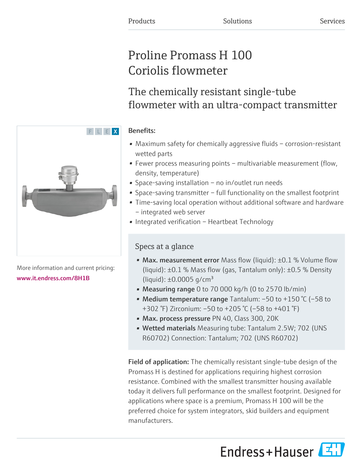# Proline Promass H 100 Coriolis flowmeter

# The chemically resistant single-tube flowmeter with an ultra-compact transmitter

### Benefits:

F L E X

- Maximum safety for chemically aggressive fluids corrosion-resistant wetted parts
- Fewer process measuring points multivariable measurement (flow, density, temperature)
- Space-saving installation no in/outlet run needs
- Space-saving transmitter full functionality on the smallest footprint
- Time-saving local operation without additional software and hardware – integrated web server
- Integrated verification Heartbeat Technology

### Specs at a glance

- Max. measurement error Mass flow (liquid): ±0.1 % Volume flow (liquid): ±0.1 % Mass flow (gas, Tantalum only): ±0.5 % Density (liquid):  $\pm 0.0005$  g/cm<sup>3</sup>
- Measuring range 0 to 70 000 kg/h (0 to 2570 lb/min)
- Medium temperature range Tantalum:  $-50$  to  $+150$  °C ( $-58$  to +302 °F) Zirconium: –50 to +205 °C (–58 to +401 °F)
- Max. process pressure PN 40, Class 300, 20K
- Wetted materials Measuring tube: Tantalum 2.5W; 702 (UNS R60702) Connection: Tantalum; 702 (UNS R60702)

Field of application: The chemically resistant single-tube design of the Promass H is destined for applications requiring highest corrosion resistance. Combined with the smallest transmitter housing available today it delivers full performance on the smallest footprint. Designed for applications where space is a premium, Promass H 100 will be the preferred choice for system integrators, skid builders and equipment manufacturers.

Endress+Hauser



More information and current pricing: [www.it.endress.com/8H1B](https://www.it.endress.com/8H1B)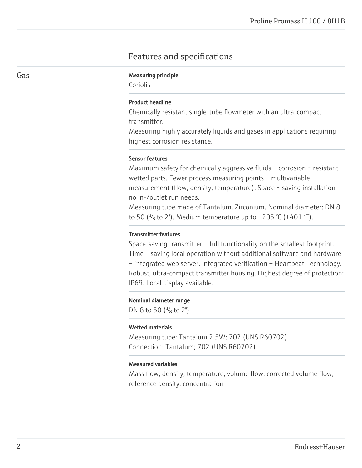### Features and specifications

#### Gas **Gas** Measuring principle

Coriolis

#### Product headline

Chemically resistant single-tube flowmeter with an ultra-compact transmitter.

Measuring highly accurately liquids and gases in applications requiring highest corrosion resistance.

#### Sensor features

Maximum safety for chemically aggressive fluids – corrosion  $-$  resistant wetted parts. Fewer process measuring points – multivariable measurement (flow, density, temperature). Space - saving installation – no in-/outlet run needs.

Measuring tube made of Tantalum, Zirconium. Nominal diameter: DN 8 to 50 ( $\frac{3}{8}$  to 2"). Medium temperature up to +205 °C (+401 °F).

#### Transmitter features

Space-saving transmitter – full functionality on the smallest footprint. Time - saving local operation without additional software and hardware – integrated web server. Integrated verification – Heartbeat Technology. Robust, ultra-compact transmitter housing. Highest degree of protection: IP69. Local display available.

#### Nominal diameter range

DN 8 to 50  $(^{3}/_{8}$  to 2")

#### Wetted materials

Measuring tube: Tantalum 2.5W; 702 (UNS R60702) Connection: Tantalum; 702 (UNS R60702)

#### Measured variables

Mass flow, density, temperature, volume flow, corrected volume flow, reference density, concentration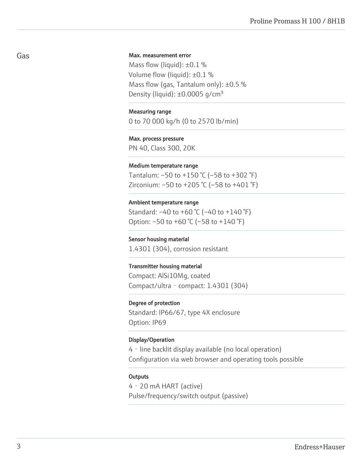#### Max. measurement error

Mass flow (liquid):  $\pm 0.1$  % Volume flow (liquid): ±0.1 % Mass flow (gas, Tantalum only):  $\pm 0.5$  % Density (liquid):  $\pm 0.0005$  g/cm<sup>3</sup>

#### Measuring range

0 to 70 000 kg/h (0 to 2570 lb/min)

#### Max. process pressure

PN 40, Class 300, 20K

#### Medium temperature range

Tantalum: –50 to +150 °C (–58 to +302 °F) Zirconium:  $-50$  to  $+205$  °C ( $-58$  to  $+401$  °F)

#### Ambient temperature range

Standard: –40 to +60 °C (–40 to +140 °F) Option: –50 to +60 °C (–58 to +140 °F)

#### Sensor housing material

1.4301 (304), corrosion resistant

#### Transmitter housing material

Compact: AlSi10Mg, coated Compact/ultra‐compact: 1.4301 (304)

#### Degree of protection

Standard: IP66/67, type 4X enclosure Option: IP69

#### Display/Operation

4‐line backlit display available (no local operation) Configuration via web browser and operating tools possible

#### **Outputs**

4‐20 mA HART (active) Pulse/frequency/switch output (passive)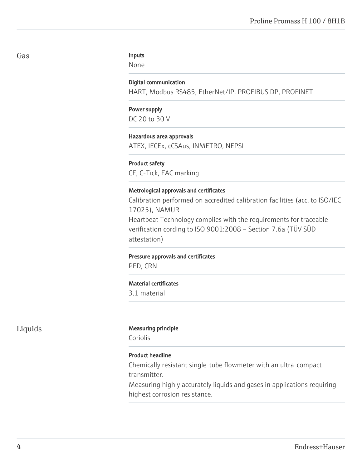#### Inputs

None

#### Digital communication

HART, Modbus RS485, EtherNet/IP, PROFIBUS DP, PROFINET

### Power supply DC 20 to 30 V

#### Hazardous area approvals

ATEX, IECEx, cCSAus, INMETRO, NEPSI

#### Product safety

CE, C-Tick, EAC marking

#### Metrological approvals and certificates

Calibration performed on accredited calibration facilities (acc. to ISO/IEC 17025), NAMUR Heartbeat Technology complies with the requirements for traceable verification cording to ISO 9001:2008 – Section 7.6a (TÜV SÜD attestation)

#### Pressure approvals and certificates

PED, CRN

#### Material certificates

3.1 material

#### Liquids Measuring principle

Coriolis

#### Product headline

Chemically resistant single-tube flowmeter with an ultra-compact transmitter.

Measuring highly accurately liquids and gases in applications requiring highest corrosion resistance.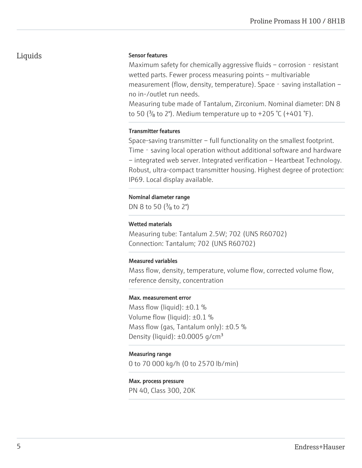### Liquids

#### Sensor features

Maximum safety for chemically aggressive fluids – corrosion  $-$  resistant wetted parts. Fewer process measuring points – multivariable measurement (flow, density, temperature). Space - saving installation – no in-/outlet run needs.

Measuring tube made of Tantalum, Zirconium. Nominal diameter: DN 8 to 50 ( $\frac{3}{8}$  to 2"). Medium temperature up to +205 °C (+401 °F).

#### Transmitter features

Space-saving transmitter – full functionality on the smallest footprint. Time - saving local operation without additional software and hardware – integrated web server. Integrated verification – Heartbeat Technology. Robust, ultra-compact transmitter housing. Highest degree of protection: IP69. Local display available.

#### Nominal diameter range

DN 8 to 50  $(^{3}/_{8}$  to 2")

#### Wetted materials

Measuring tube: Tantalum 2.5W; 702 (UNS R60702) Connection: Tantalum; 702 (UNS R60702)

#### Measured variables

Mass flow, density, temperature, volume flow, corrected volume flow, reference density, concentration

#### Max. measurement error

Mass flow (liquid):  $\pm 0.1$  % Volume flow (liquid): ±0.1 % Mass flow (gas, Tantalum only):  $\pm 0.5$  % Density (liquid):  $\pm 0.0005$  g/cm<sup>3</sup>

#### Measuring range

0 to 70 000 kg/h (0 to 2570 lb/min)

#### Max. process pressure

PN 40, Class 300, 20K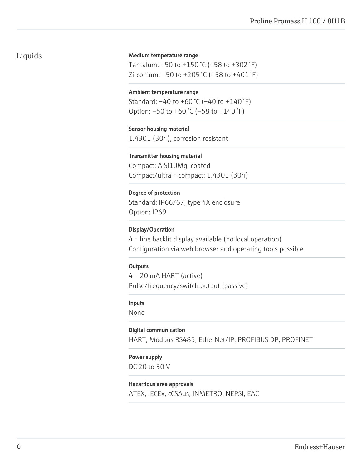### Liquids

#### Medium temperature range

Tantalum: –50 to +150 °C (–58 to +302 °F) Zirconium: –50 to +205 °C (–58 to +401 °F)

#### Ambient temperature range

Standard: –40 to +60 °C (–40 to +140 °F) Option: –50 to +60 °C (–58 to +140 °F)

#### Sensor housing material

1.4301 (304), corrosion resistant

#### Transmitter housing material

Compact: AlSi10Mg, coated Compact/ultra‐compact: 1.4301 (304)

#### Degree of protection

Standard: IP66/67, type 4X enclosure Option: IP69

#### Display/Operation

4‐line backlit display available (no local operation) Configuration via web browser and operating tools possible

#### **Outputs**

4‐20 mA HART (active) Pulse/frequency/switch output (passive)

#### Inputs

None

#### Digital communication

HART, Modbus RS485, EtherNet/IP, PROFIBUS DP, PROFINET

#### Power supply

DC 20 to 30 V

#### Hazardous area approvals

ATEX, IECEx, cCSAus, INMETRO, NEPSI, EAC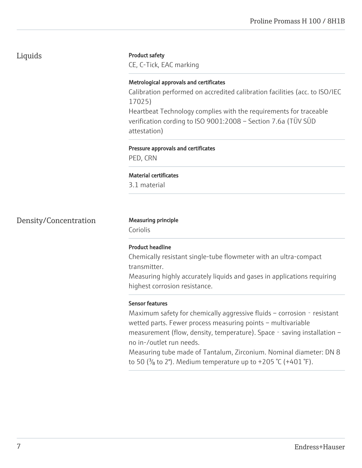### Liquids

#### Product safety

CE, C-Tick, EAC marking

#### Metrological approvals and certificates

Calibration performed on accredited calibration facilities (acc. to ISO/IEC 17025)

Heartbeat Technology complies with the requirements for traceable verification cording to ISO 9001:2008 – Section 7.6a (TÜV SÜD attestation)

### Pressure approvals and certificates PED, CRN

### Material certificates

3.1 material

### Density/Concentration Measuring principle

Coriolis

### Product headline

Chemically resistant single-tube flowmeter with an ultra-compact transmitter.

Measuring highly accurately liquids and gases in applications requiring highest corrosion resistance.

#### Sensor features

Maximum safety for chemically aggressive fluids – corrosion  $-$  resistant wetted parts. Fewer process measuring points – multivariable measurement (flow, density, temperature). Space - saving installation – no in-/outlet run needs.

Measuring tube made of Tantalum, Zirconium. Nominal diameter: DN 8 to 50 ( $\frac{3}{8}$  to 2"). Medium temperature up to +205 °C (+401 °F).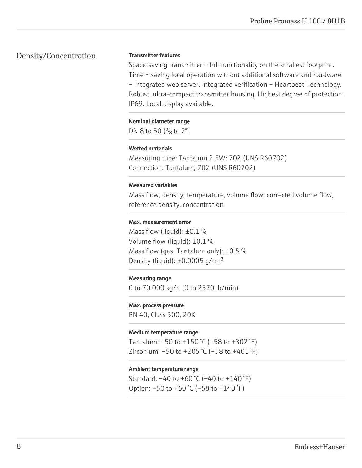### Density/Concentration

#### Transmitter features

Space-saving transmitter – full functionality on the smallest footprint. Time - saving local operation without additional software and hardware – integrated web server. Integrated verification – Heartbeat Technology. Robust, ultra-compact transmitter housing. Highest degree of protection: IP69. Local display available.

#### Nominal diameter range

DN 8 to 50  $(^{3}/_{8}$  to 2")

#### Wetted materials

Measuring tube: Tantalum 2.5W; 702 (UNS R60702) Connection: Tantalum; 702 (UNS R60702)

#### Measured variables

Mass flow, density, temperature, volume flow, corrected volume flow, reference density, concentration

#### Max. measurement error

Mass flow (liquid):  $\pm 0.1$  % Volume flow (liquid): ±0.1 % Mass flow (gas, Tantalum only):  $\pm 0.5$  % Density (liquid):  $\pm 0.0005$  g/cm<sup>3</sup>

#### Measuring range

0 to 70 000 kg/h (0 to 2570 lb/min)

#### Max. process pressure

PN 40, Class 300, 20K

#### Medium temperature range

Tantalum:  $-50$  to  $+150$  °C ( $-58$  to  $+302$  °F) Zirconium: –50 to +205 °C (–58 to +401 °F)

### Ambient temperature range

Standard: –40 to +60 °C (–40 to +140 °F) Option: –50 to +60 °C (–58 to +140 °F)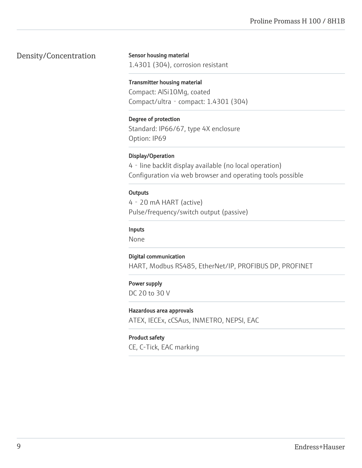### Density/Concentration

Sensor housing material

1.4301 (304), corrosion resistant

#### Transmitter housing material

Compact: AlSi10Mg, coated Compact/ultra‐compact: 1.4301 (304)

### Degree of protection

Standard: IP66/67, type 4X enclosure Option: IP69

#### Display/Operation

4‐line backlit display available (no local operation) Configuration via web browser and operating tools possible

#### **Outputs**

4‐20 mA HART (active) Pulse/frequency/switch output (passive)

#### Inputs

None

#### Digital communication

HART, Modbus RS485, EtherNet/IP, PROFIBUS DP, PROFINET

#### Power supply

DC 20 to 30 V

#### Hazardous area approvals

ATEX, IECEx, cCSAus, INMETRO, NEPSI, EAC

#### Product safety

CE, C-Tick, EAC marking